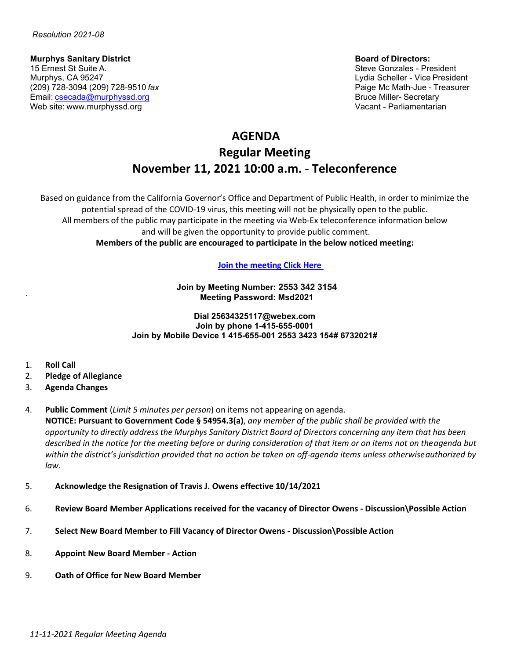**Murphys Sanitary District Sanitary District Board of Directors:<br>15 Ernest St Suite A. State Board of Directors: Steve Gonzales - Pre** 15 Ernest St Suite A. Steve Gonzales - President (15 Ernest St Suite A. Steve Gonzales - President (15 Ernest<br>Murphys, CA 95247 (209) 728-3094 (209) 728-9510 *fax* Paige Mc Math-Jue - Treasurer<br>Email: csecada@murphyssd.org Email: [csecada@murphyssd.org](mailto:csecada@murphyssd.org) Web site: [www.murphyssd.org](http://www.murphyssd.org/) Vacant - Parliamentarian

Lydia Scheller - Vice President

# **AGENDA Regular Meeting November 11, 2021 10:00 a.m. - Teleconference**

Based on guidance from the California Governor's Office and Department of Public Health, in order to minimize the potential spread of the COVID-19 virus, this meeting will not be physically open to the public. All members of the public may participate in the meeting via Web-Ex teleconference information below and will be given the opportunity to provide public comment. **Members of the public are encouraged to participate in the below noticed meeting:**

# **[Join the meeting](https://murphyssanitarydistrict.my.webex.com/murphyssanitarydistrict.my/j.php?MTID=ma692109bc055e7bca6483ae6273d391d) Click Here**

**Join by Meeting Number: 2553 342 3154 Meeting Password: Msd2021**

**Dial 25634325117@webex.com Join by phone 1-415-655-0001 Join by Mobile Device 1 415-655-001 2553 3423 154# 6732021#**

- 1. **Roll Call**
- 2. **Pledge of Allegiance**
- 3. **Agenda Changes**
- 4. **Public Comment** (*Limit 5 minutes per person*) on items not appearing on agenda. **NOTICE: Pursuant to Government Code § 54954.3(a)**, *any member of the public shall be provided with the* opportunity to directly address the Murphys Sanitary District Board of Directors concerning any item that has been *described in the notice for the meeting before or during consideration of that item or on items not on theagenda but within the district's jurisdiction provided that no action be taken on off-agenda items unless otherwiseauthorized by law.*
- 5. **Acknowledge the Resignation of Travis J. Owens effective 10/14/2021**
- 6. **Review Board Member Applications received for the vacancy of Director Owens - Discussion\Possible Action**
- 7. **Select New Board Member to Fill Vacancy of Director Owens - Discussion\Possible Action**
- 8. **Appoint New Board Member - Action**
- 9. **Oath of Office for New Board Member**